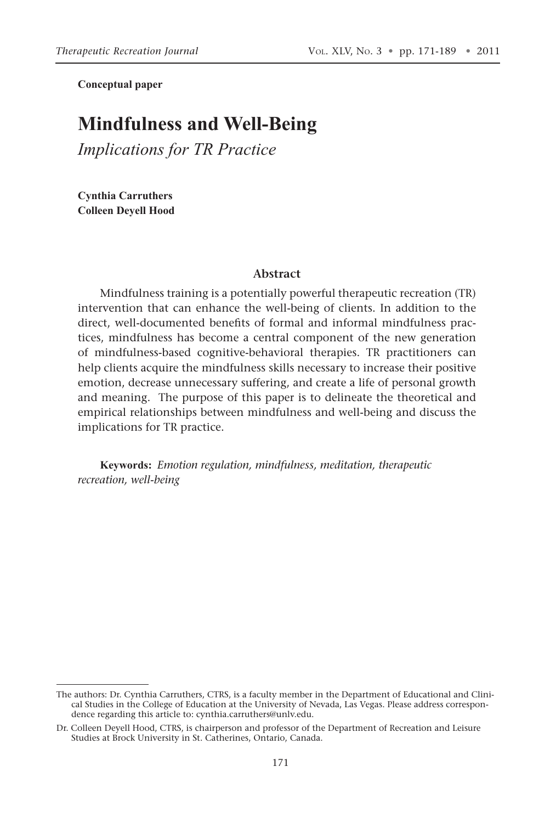**Conceptual paper**

# **Mindfulness and Well-Being**

*Implications for TR Practice*

**Cynthia Carruthers Colleen Deyell Hood**

#### **Abstract**

Mindfulness training is a potentially powerful therapeutic recreation (TR) intervention that can enhance the well-being of clients. In addition to the direct, well-documented benefits of formal and informal mindfulness practices, mindfulness has become a central component of the new generation of mindfulness-based cognitive-behavioral therapies. TR practitioners can help clients acquire the mindfulness skills necessary to increase their positive emotion, decrease unnecessary suffering, and create a life of personal growth and meaning. The purpose of this paper is to delineate the theoretical and empirical relationships between mindfulness and well-being and discuss the implications for TR practice.

**Keywords:** *Emotion regulation, mindfulness, meditation, therapeutic recreation, well-being*

The authors: Dr. Cynthia Carruthers, CTRS, is a faculty member in the Department of Educational and Clinical Studies in the College of Education at the University of Nevada, Las Vegas. Please address correspondence regarding this article to: cynthia.carruthers@unlv.edu.

Dr. Colleen Deyell Hood, CTRS, is chairperson and professor of the Department of Recreation and Leisure Studies at Brock University in St. Catherines, Ontario, Canada.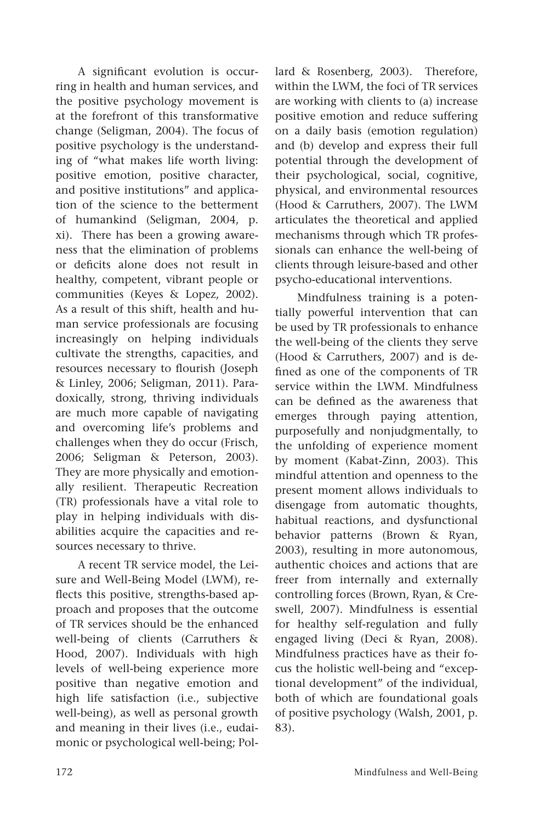A significant evolution is occurring in health and human services, and the positive psychology movement is at the forefront of this transformative change (Seligman, 2004). The focus of positive psychology is the understanding of "what makes life worth living: positive emotion, positive character, and positive institutions" and application of the science to the betterment of humankind (Seligman, 2004, p. xi). There has been a growing awareness that the elimination of problems or deficits alone does not result in healthy, competent, vibrant people or communities (Keyes & Lopez, 2002). As a result of this shift, health and human service professionals are focusing increasingly on helping individuals cultivate the strengths, capacities, and resources necessary to flourish (Joseph & Linley, 2006; Seligman, 2011). Paradoxically, strong, thriving individuals are much more capable of navigating and overcoming life's problems and challenges when they do occur (Frisch, 2006; Seligman & Peterson, 2003). They are more physically and emotionally resilient. Therapeutic Recreation (TR) professionals have a vital role to play in helping individuals with disabilities acquire the capacities and resources necessary to thrive.

A recent TR service model, the Leisure and Well-Being Model (LWM), reflects this positive, strengths-based approach and proposes that the outcome of TR services should be the enhanced well-being of clients (Carruthers & Hood, 2007). Individuals with high levels of well-being experience more positive than negative emotion and high life satisfaction (i.e., subjective well-being), as well as personal growth and meaning in their lives (i.e., eudaimonic or psychological well-being; Pollard & Rosenberg, 2003). Therefore, within the LWM, the foci of TR services are working with clients to (a) increase positive emotion and reduce suffering on a daily basis (emotion regulation) and (b) develop and express their full potential through the development of their psychological, social, cognitive, physical, and environmental resources (Hood & Carruthers, 2007). The LWM articulates the theoretical and applied mechanisms through which TR professionals can enhance the well-being of clients through leisure-based and other psycho-educational interventions.

Mindfulness training is a potentially powerful intervention that can be used by TR professionals to enhance the well-being of the clients they serve (Hood & Carruthers, 2007) and is defined as one of the components of TR service within the LWM. Mindfulness can be defined as the awareness that emerges through paying attention, purposefully and nonjudgmentally, to the unfolding of experience moment by moment (Kabat-Zinn, 2003). This mindful attention and openness to the present moment allows individuals to disengage from automatic thoughts, habitual reactions, and dysfunctional behavior patterns (Brown & Ryan, 2003), resulting in more autonomous, authentic choices and actions that are freer from internally and externally controlling forces (Brown, Ryan, & Creswell, 2007). Mindfulness is essential for healthy self-regulation and fully engaged living (Deci & Ryan, 2008). Mindfulness practices have as their focus the holistic well-being and "exceptional development" of the individual, both of which are foundational goals of positive psychology (Walsh, 2001, p. 83).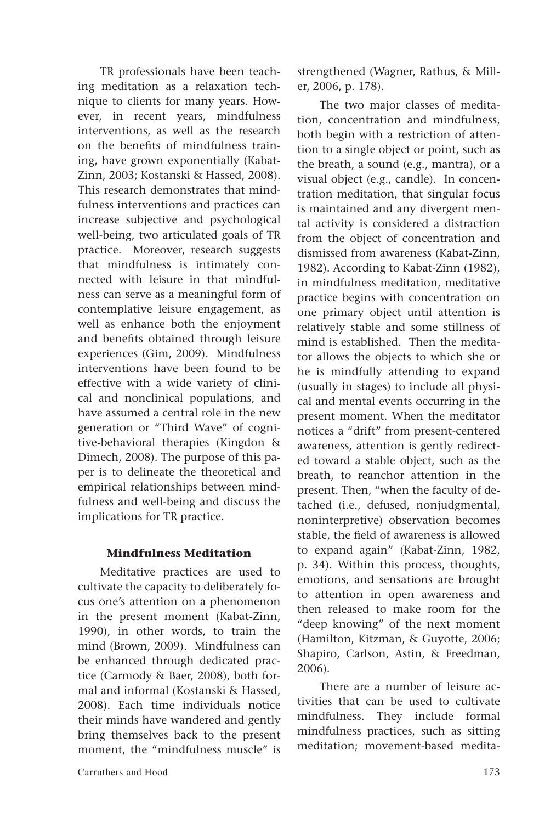TR professionals have been teaching meditation as a relaxation technique to clients for many years. However, in recent years, mindfulness interventions, as well as the research on the benefits of mindfulness training, have grown exponentially (Kabat-Zinn, 2003; Kostanski & Hassed, 2008). This research demonstrates that mindfulness interventions and practices can increase subjective and psychological well-being, two articulated goals of TR practice. Moreover, research suggests that mindfulness is intimately connected with leisure in that mindfulness can serve as a meaningful form of contemplative leisure engagement, as well as enhance both the enjoyment and benefits obtained through leisure experiences (Gim, 2009). Mindfulness interventions have been found to be effective with a wide variety of clinical and nonclinical populations, and have assumed a central role in the new generation or "Third Wave" of cognitive-behavioral therapies (Kingdon & Dimech, 2008). The purpose of this paper is to delineate the theoretical and empirical relationships between mindfulness and well-being and discuss the implications for TR practice.

### **Mindfulness Meditation**

Meditative practices are used to cultivate the capacity to deliberately focus one's attention on a phenomenon in the present moment (Kabat-Zinn, 1990), in other words, to train the mind (Brown, 2009). Mindfulness can be enhanced through dedicated practice (Carmody & Baer, 2008), both formal and informal (Kostanski & Hassed, 2008). Each time individuals notice their minds have wandered and gently bring themselves back to the present moment, the "mindfulness muscle" is strengthened (Wagner, Rathus, & Miller, 2006, p. 178).

The two major classes of meditation, concentration and mindfulness, both begin with a restriction of attention to a single object or point, such as the breath, a sound (e.g., mantra), or a visual object (e.g., candle). In concentration meditation, that singular focus is maintained and any divergent mental activity is considered a distraction from the object of concentration and dismissed from awareness (Kabat-Zinn, 1982). According to Kabat-Zinn (1982), in mindfulness meditation, meditative practice begins with concentration on one primary object until attention is relatively stable and some stillness of mind is established. Then the meditator allows the objects to which she or he is mindfully attending to expand (usually in stages) to include all physical and mental events occurring in the present moment. When the meditator notices a "drift" from present-centered awareness, attention is gently redirected toward a stable object, such as the breath, to reanchor attention in the present. Then, "when the faculty of detached (i.e., defused, nonjudgmental, noninterpretive) observation becomes stable, the field of awareness is allowed to expand again" (Kabat-Zinn, 1982, p. 34). Within this process, thoughts, emotions, and sensations are brought to attention in open awareness and then released to make room for the "deep knowing" of the next moment (Hamilton, Kitzman, & Guyotte, 2006; Shapiro, Carlson, Astin, & Freedman, 2006).

There are a number of leisure activities that can be used to cultivate mindfulness. They include formal mindfulness practices, such as sitting meditation; movement-based medita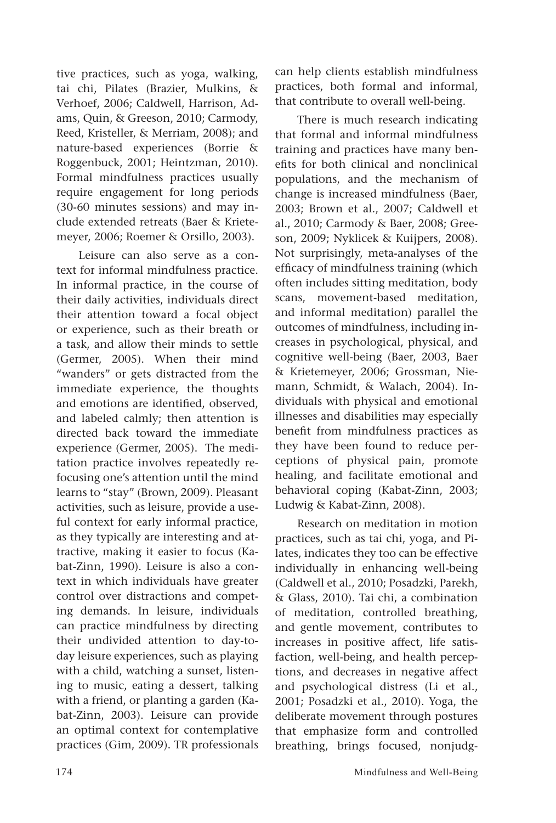tive practices, such as yoga, walking, tai chi, Pilates (Brazier, Mulkins, & Verhoef, 2006; Caldwell, Harrison, Adams, Quin, & Greeson, 2010; Carmody, Reed, Kristeller, & Merriam, 2008); and nature-based experiences (Borrie & Roggenbuck, 2001; Heintzman, 2010). Formal mindfulness practices usually require engagement for long periods (30-60 minutes sessions) and may include extended retreats (Baer & Krietemeyer, 2006; Roemer & Orsillo, 2003).

Leisure can also serve as a context for informal mindfulness practice. In informal practice, in the course of their daily activities, individuals direct their attention toward a focal object or experience, such as their breath or a task, and allow their minds to settle (Germer, 2005). When their mind "wanders" or gets distracted from the immediate experience, the thoughts and emotions are identified, observed, and labeled calmly; then attention is directed back toward the immediate experience (Germer, 2005). The meditation practice involves repeatedly refocusing one's attention until the mind learns to "stay" (Brown, 2009). Pleasant activities, such as leisure, provide a useful context for early informal practice, as they typically are interesting and attractive, making it easier to focus (Kabat-Zinn, 1990). Leisure is also a context in which individuals have greater control over distractions and competing demands. In leisure, individuals can practice mindfulness by directing their undivided attention to day-today leisure experiences, such as playing with a child, watching a sunset, listening to music, eating a dessert, talking with a friend, or planting a garden (Kabat-Zinn, 2003). Leisure can provide an optimal context for contemplative practices (Gim, 2009). TR professionals can help clients establish mindfulness practices, both formal and informal, that contribute to overall well-being.

There is much research indicating that formal and informal mindfulness training and practices have many benefits for both clinical and nonclinical populations, and the mechanism of change is increased mindfulness (Baer, 2003; Brown et al., 2007; Caldwell et al., 2010; Carmody & Baer, 2008; Greeson, 2009; Nyklicek & Kuijpers, 2008). Not surprisingly, meta-analyses of the efficacy of mindfulness training (which often includes sitting meditation, body scans, movement-based meditation, and informal meditation) parallel the outcomes of mindfulness, including increases in psychological, physical, and cognitive well-being (Baer, 2003, Baer & Krietemeyer, 2006; Grossman, Niemann, Schmidt, & Walach, 2004). Individuals with physical and emotional illnesses and disabilities may especially benefit from mindfulness practices as they have been found to reduce perceptions of physical pain, promote healing, and facilitate emotional and behavioral coping (Kabat-Zinn, 2003; Ludwig & Kabat-Zinn, 2008).

Research on meditation in motion practices, such as tai chi, yoga, and Pilates, indicates they too can be effective individually in enhancing well-being (Caldwell et al., 2010; Posadzki, Parekh, & Glass, 2010). Tai chi, a combination of meditation, controlled breathing, and gentle movement, contributes to increases in positive affect, life satisfaction, well-being, and health perceptions, and decreases in negative affect and psychological distress (Li et al., 2001; Posadzki et al., 2010). Yoga, the deliberate movement through postures that emphasize form and controlled breathing, brings focused, nonjudg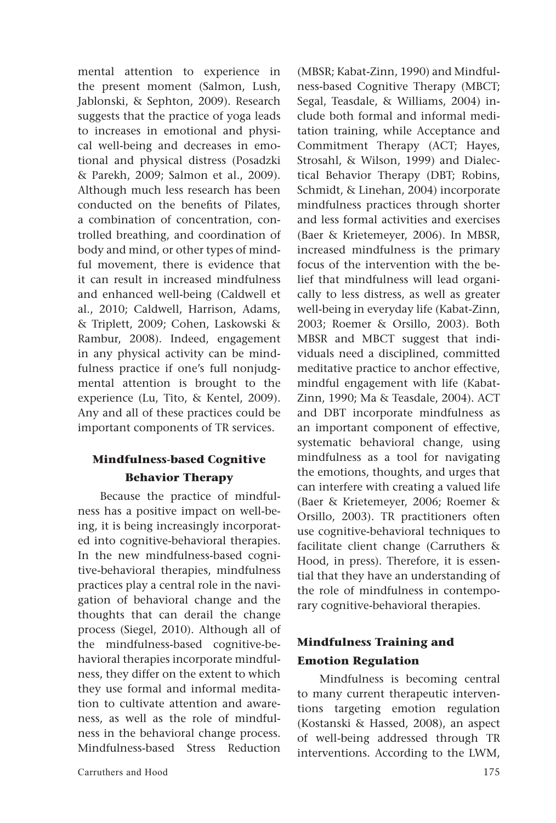mental attention to experience in the present moment (Salmon, Lush, Jablonski, & Sephton, 2009). Research suggests that the practice of yoga leads to increases in emotional and physical well-being and decreases in emotional and physical distress (Posadzki & Parekh, 2009; Salmon et al., 2009). Although much less research has been conducted on the benefits of Pilates, a combination of concentration, controlled breathing, and coordination of body and mind, or other types of mindful movement, there is evidence that it can result in increased mindfulness and enhanced well-being (Caldwell et al., 2010; Caldwell, Harrison, Adams, & Triplett, 2009; Cohen, Laskowski & Rambur, 2008). Indeed, engagement in any physical activity can be mindfulness practice if one's full nonjudgmental attention is brought to the experience (Lu, Tito, & Kentel, 2009). Any and all of these practices could be important components of TR services.

## **Mindfulness-based Cognitive Behavior Therapy**

Because the practice of mindfulness has a positive impact on well-being, it is being increasingly incorporated into cognitive-behavioral therapies. In the new mindfulness-based cognitive-behavioral therapies, mindfulness practices play a central role in the navigation of behavioral change and the thoughts that can derail the change process (Siegel, 2010). Although all of the mindfulness-based cognitive-behavioral therapies incorporate mindfulness, they differ on the extent to which they use formal and informal meditation to cultivate attention and awareness, as well as the role of mindfulness in the behavioral change process. Mindfulness-based Stress Reduction

(MBSR; Kabat-Zinn, 1990) and Mindfulness-based Cognitive Therapy (MBCT; Segal, Teasdale, & Williams, 2004) include both formal and informal meditation training, while Acceptance and Commitment Therapy (ACT; Hayes, Strosahl, & Wilson, 1999) and Dialectical Behavior Therapy (DBT; Robins, Schmidt, & Linehan, 2004) incorporate mindfulness practices through shorter and less formal activities and exercises (Baer & Krietemeyer, 2006). In MBSR, increased mindfulness is the primary focus of the intervention with the belief that mindfulness will lead organically to less distress, as well as greater well-being in everyday life (Kabat-Zinn, 2003; Roemer & Orsillo, 2003). Both MBSR and MBCT suggest that individuals need a disciplined, committed meditative practice to anchor effective, mindful engagement with life (Kabat-Zinn, 1990; Ma & Teasdale, 2004). ACT and DBT incorporate mindfulness as an important component of effective, systematic behavioral change, using mindfulness as a tool for navigating the emotions, thoughts, and urges that can interfere with creating a valued life (Baer & Krietemeyer, 2006; Roemer & Orsillo, 2003). TR practitioners often use cognitive-behavioral techniques to facilitate client change (Carruthers & Hood, in press). Therefore, it is essential that they have an understanding of the role of mindfulness in contemporary cognitive-behavioral therapies.

## **Mindfulness Training and Emotion Regulation**

Mindfulness is becoming central to many current therapeutic interventions targeting emotion regulation (Kostanski & Hassed, 2008), an aspect of well-being addressed through TR interventions. According to the LWM,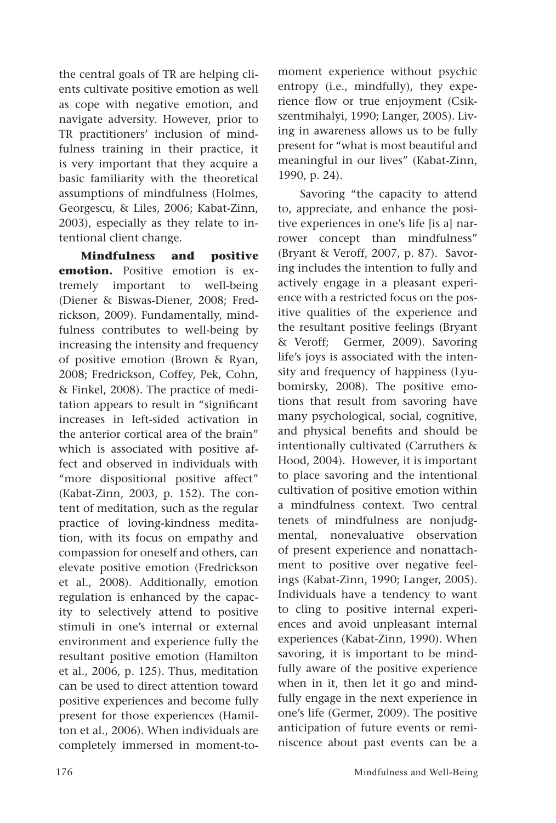the central goals of TR are helping clients cultivate positive emotion as well as cope with negative emotion, and navigate adversity. However, prior to TR practitioners' inclusion of mindfulness training in their practice, it is very important that they acquire a basic familiarity with the theoretical assumptions of mindfulness (Holmes, Georgescu, & Liles, 2006; Kabat-Zinn, 2003), especially as they relate to intentional client change.

**Mindfulness and positive emotion.** Positive emotion is extremely important to well-being (Diener & Biswas-Diener, 2008; Fredrickson, 2009). Fundamentally, mindfulness contributes to well-being by increasing the intensity and frequency of positive emotion (Brown & Ryan, 2008; Fredrickson, Coffey, Pek, Cohn, & Finkel, 2008). The practice of meditation appears to result in "significant increases in left-sided activation in the anterior cortical area of the brain" which is associated with positive affect and observed in individuals with "more dispositional positive affect" (Kabat-Zinn, 2003, p. 152). The content of meditation, such as the regular practice of loving-kindness meditation, with its focus on empathy and compassion for oneself and others, can elevate positive emotion (Fredrickson et al., 2008). Additionally, emotion regulation is enhanced by the capacity to selectively attend to positive stimuli in one's internal or external environment and experience fully the resultant positive emotion (Hamilton et al., 2006, p. 125). Thus, meditation can be used to direct attention toward positive experiences and become fully present for those experiences (Hamilton et al., 2006). When individuals are completely immersed in moment-tomoment experience without psychic entropy (i.e., mindfully), they experience flow or true enjoyment (Csikszentmihalyi, 1990; Langer, 2005). Living in awareness allows us to be fully present for "what is most beautiful and meaningful in our lives" (Kabat-Zinn, 1990, p. 24).

Savoring "the capacity to attend to, appreciate, and enhance the positive experiences in one's life [is a] narrower concept than mindfulness" (Bryant & Veroff, 2007, p. 87). Savoring includes the intention to fully and actively engage in a pleasant experience with a restricted focus on the positive qualities of the experience and the resultant positive feelings (Bryant & Veroff; Germer, 2009). Savoring life's joys is associated with the intensity and frequency of happiness (Lyubomirsky, 2008). The positive emotions that result from savoring have many psychological, social, cognitive, and physical benefits and should be intentionally cultivated (Carruthers & Hood, 2004). However, it is important to place savoring and the intentional cultivation of positive emotion within a mindfulness context. Two central tenets of mindfulness are nonjudgmental, nonevaluative observation of present experience and nonattachment to positive over negative feelings (Kabat-Zinn, 1990; Langer, 2005). Individuals have a tendency to want to cling to positive internal experiences and avoid unpleasant internal experiences (Kabat-Zinn, 1990). When savoring, it is important to be mindfully aware of the positive experience when in it, then let it go and mindfully engage in the next experience in one's life (Germer, 2009). The positive anticipation of future events or reminiscence about past events can be a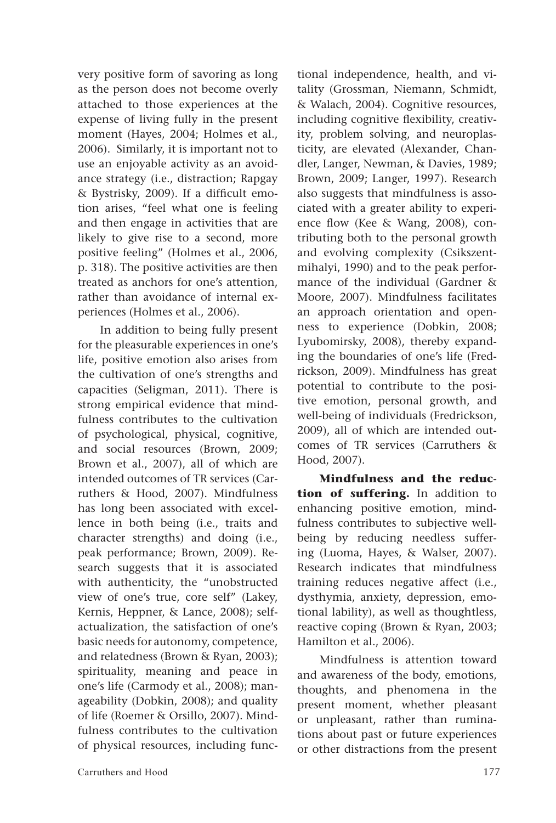very positive form of savoring as long as the person does not become overly attached to those experiences at the expense of living fully in the present moment (Hayes, 2004; Holmes et al., 2006). Similarly, it is important not to use an enjoyable activity as an avoidance strategy (i.e., distraction; Rapgay & Bystrisky, 2009). If a difficult emotion arises, "feel what one is feeling and then engage in activities that are likely to give rise to a second, more positive feeling" (Holmes et al., 2006, p. 318). The positive activities are then treated as anchors for one's attention, rather than avoidance of internal experiences (Holmes et al., 2006).

In addition to being fully present for the pleasurable experiences in one's life, positive emotion also arises from the cultivation of one's strengths and capacities (Seligman, 2011). There is strong empirical evidence that mindfulness contributes to the cultivation of psychological, physical, cognitive, and social resources (Brown, 2009; Brown et al., 2007), all of which are intended outcomes of TR services (Carruthers & Hood, 2007). Mindfulness has long been associated with excellence in both being (i.e., traits and character strengths) and doing (i.e., peak performance; Brown, 2009). Research suggests that it is associated with authenticity, the "unobstructed view of one's true, core self" (Lakey, Kernis, Heppner, & Lance, 2008); selfactualization, the satisfaction of one's basic needs for autonomy, competence, and relatedness (Brown & Ryan, 2003); spirituality, meaning and peace in one's life (Carmody et al., 2008); manageability (Dobkin, 2008); and quality of life (Roemer & Orsillo, 2007). Mindfulness contributes to the cultivation of physical resources, including functional independence, health, and vitality (Grossman, Niemann, Schmidt, & Walach, 2004). Cognitive resources, including cognitive flexibility, creativity, problem solving, and neuroplasticity, are elevated (Alexander, Chandler, Langer, Newman, & Davies, 1989; Brown, 2009; Langer, 1997). Research also suggests that mindfulness is associated with a greater ability to experience flow (Kee & Wang, 2008), contributing both to the personal growth and evolving complexity (Csikszentmihalyi, 1990) and to the peak performance of the individual (Gardner & Moore, 2007). Mindfulness facilitates an approach orientation and openness to experience (Dobkin, 2008; Lyubomirsky, 2008), thereby expanding the boundaries of one's life (Fredrickson, 2009). Mindfulness has great potential to contribute to the positive emotion, personal growth, and well-being of individuals (Fredrickson, 2009), all of which are intended outcomes of TR services (Carruthers & Hood, 2007).

**Mindfulness and the reduction of suffering.** In addition to enhancing positive emotion, mindfulness contributes to subjective wellbeing by reducing needless suffering (Luoma, Hayes, & Walser, 2007). Research indicates that mindfulness training reduces negative affect (i.e., dysthymia, anxiety, depression, emotional lability), as well as thoughtless, reactive coping (Brown & Ryan, 2003; Hamilton et al., 2006).

Mindfulness is attention toward and awareness of the body, emotions, thoughts, and phenomena in the present moment, whether pleasant or unpleasant, rather than ruminations about past or future experiences or other distractions from the present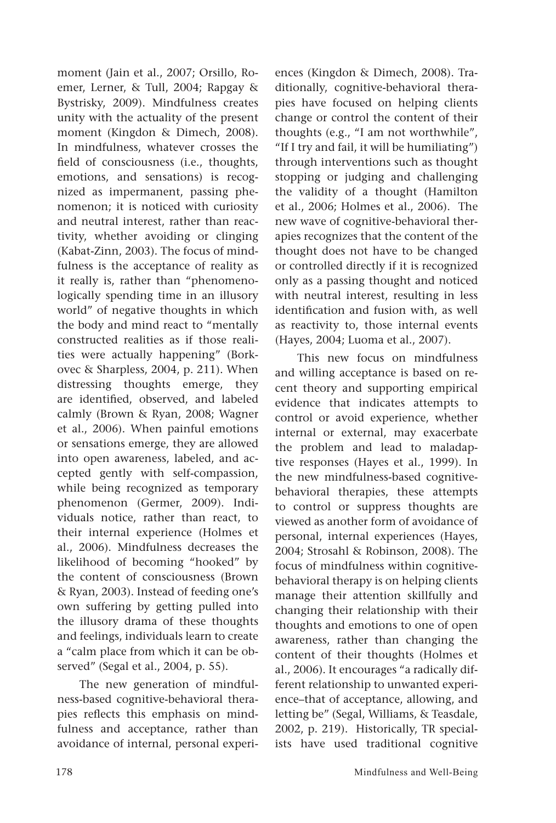moment (Jain et al., 2007; Orsillo, Roemer, Lerner, & Tull, 2004; Rapgay & Bystrisky, 2009). Mindfulness creates unity with the actuality of the present moment (Kingdon & Dimech, 2008). In mindfulness, whatever crosses the field of consciousness (i.e., thoughts, emotions, and sensations) is recognized as impermanent, passing phenomenon; it is noticed with curiosity and neutral interest, rather than reactivity, whether avoiding or clinging (Kabat-Zinn, 2003). The focus of mindfulness is the acceptance of reality as it really is, rather than "phenomenologically spending time in an illusory world" of negative thoughts in which the body and mind react to "mentally constructed realities as if those realities were actually happening" (Borkovec & Sharpless, 2004, p. 211). When distressing thoughts emerge, they are identified, observed, and labeled calmly (Brown & Ryan, 2008; Wagner et al., 2006). When painful emotions or sensations emerge, they are allowed into open awareness, labeled, and accepted gently with self-compassion, while being recognized as temporary phenomenon (Germer, 2009). Individuals notice, rather than react, to their internal experience (Holmes et al., 2006). Mindfulness decreases the likelihood of becoming "hooked" by the content of consciousness (Brown & Ryan, 2003). Instead of feeding one's own suffering by getting pulled into the illusory drama of these thoughts and feelings, individuals learn to create a "calm place from which it can be observed" (Segal et al., 2004, p. 55).

The new generation of mindfulness-based cognitive-behavioral therapies reflects this emphasis on mindfulness and acceptance, rather than avoidance of internal, personal experiences (Kingdon & Dimech, 2008). Traditionally, cognitive-behavioral therapies have focused on helping clients change or control the content of their thoughts (e.g., "I am not worthwhile", "If I try and fail, it will be humiliating") through interventions such as thought stopping or judging and challenging the validity of a thought (Hamilton et al., 2006; Holmes et al., 2006). The new wave of cognitive-behavioral therapies recognizes that the content of the thought does not have to be changed or controlled directly if it is recognized only as a passing thought and noticed with neutral interest, resulting in less identification and fusion with, as well as reactivity to, those internal events (Hayes, 2004; Luoma et al., 2007).

This new focus on mindfulness and willing acceptance is based on recent theory and supporting empirical evidence that indicates attempts to control or avoid experience, whether internal or external, may exacerbate the problem and lead to maladaptive responses (Hayes et al., 1999). In the new mindfulness-based cognitivebehavioral therapies, these attempts to control or suppress thoughts are viewed as another form of avoidance of personal, internal experiences (Hayes, 2004; Strosahl & Robinson, 2008). The focus of mindfulness within cognitivebehavioral therapy is on helping clients manage their attention skillfully and changing their relationship with their thoughts and emotions to one of open awareness, rather than changing the content of their thoughts (Holmes et al., 2006). It encourages "a radically different relationship to unwanted experience–that of acceptance, allowing, and letting be" (Segal, Williams, & Teasdale, 2002, p. 219). Historically, TR specialists have used traditional cognitive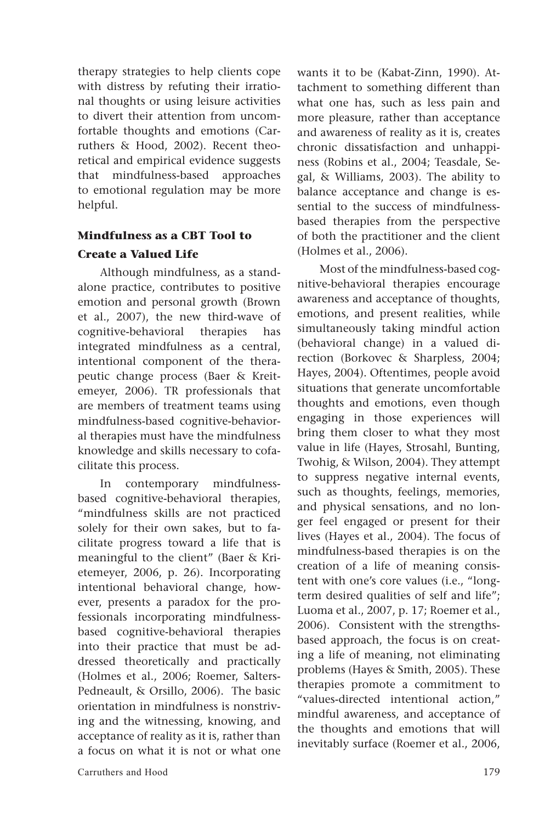therapy strategies to help clients cope with distress by refuting their irrational thoughts or using leisure activities to divert their attention from uncomfortable thoughts and emotions (Carruthers & Hood, 2002). Recent theoretical and empirical evidence suggests that mindfulness-based approaches to emotional regulation may be more helpful.

### **Mindfulness as a CBT Tool to Create a Valued Life**

Although mindfulness, as a standalone practice, contributes to positive emotion and personal growth (Brown et al., 2007), the new third-wave of cognitive-behavioral therapies has integrated mindfulness as a central, intentional component of the therapeutic change process (Baer & Kreitemeyer, 2006). TR professionals that are members of treatment teams using mindfulness-based cognitive-behavioral therapies must have the mindfulness knowledge and skills necessary to cofacilitate this process.

In contemporary mindfulnessbased cognitive-behavioral therapies, "mindfulness skills are not practiced solely for their own sakes, but to facilitate progress toward a life that is meaningful to the client" (Baer & Krietemeyer, 2006, p. 26). Incorporating intentional behavioral change, however, presents a paradox for the professionals incorporating mindfulnessbased cognitive-behavioral therapies into their practice that must be addressed theoretically and practically (Holmes et al., 2006; Roemer, Salters-Pedneault, & Orsillo, 2006). The basic orientation in mindfulness is nonstriving and the witnessing, knowing, and acceptance of reality as it is, rather than a focus on what it is not or what one wants it to be (Kabat-Zinn, 1990). Attachment to something different than what one has, such as less pain and more pleasure, rather than acceptance and awareness of reality as it is, creates chronic dissatisfaction and unhappiness (Robins et al., 2004; Teasdale, Segal, & Williams, 2003). The ability to balance acceptance and change is essential to the success of mindfulnessbased therapies from the perspective of both the practitioner and the client (Holmes et al., 2006).

Most of the mindfulness-based cognitive-behavioral therapies encourage awareness and acceptance of thoughts, emotions, and present realities, while simultaneously taking mindful action (behavioral change) in a valued direction (Borkovec & Sharpless, 2004; Hayes, 2004). Oftentimes, people avoid situations that generate uncomfortable thoughts and emotions, even though engaging in those experiences will bring them closer to what they most value in life (Hayes, Strosahl, Bunting, Twohig, & Wilson, 2004). They attempt to suppress negative internal events, such as thoughts, feelings, memories, and physical sensations, and no longer feel engaged or present for their lives (Hayes et al., 2004). The focus of mindfulness-based therapies is on the creation of a life of meaning consistent with one's core values (i.e., "longterm desired qualities of self and life"; Luoma et al., 2007, p. 17; Roemer et al., 2006). Consistent with the strengthsbased approach, the focus is on creating a life of meaning, not eliminating problems (Hayes & Smith, 2005). These therapies promote a commitment to "values-directed intentional action," mindful awareness, and acceptance of the thoughts and emotions that will inevitably surface (Roemer et al., 2006,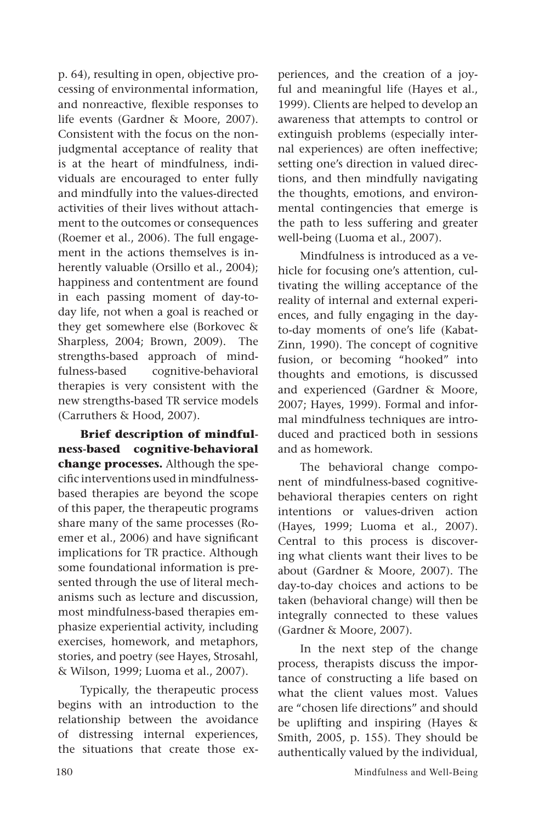p. 64), resulting in open, objective processing of environmental information, and nonreactive, flexible responses to life events (Gardner & Moore, 2007). Consistent with the focus on the nonjudgmental acceptance of reality that is at the heart of mindfulness, individuals are encouraged to enter fully and mindfully into the values-directed activities of their lives without attachment to the outcomes or consequences (Roemer et al., 2006). The full engagement in the actions themselves is inherently valuable (Orsillo et al., 2004); happiness and contentment are found in each passing moment of day-today life, not when a goal is reached or they get somewhere else (Borkovec & Sharpless, 2004; Brown, 2009). The strengths-based approach of mindfulness-based cognitive-behavioral therapies is very consistent with the new strengths-based TR service models (Carruthers & Hood, 2007).

**Brief description of mindfulness-based cognitive-behavioral change processes.** Although the specific interventions used in mindfulnessbased therapies are beyond the scope of this paper, the therapeutic programs share many of the same processes (Roemer et al., 2006) and have significant implications for TR practice. Although some foundational information is presented through the use of literal mechanisms such as lecture and discussion, most mindfulness-based therapies emphasize experiential activity, including exercises, homework, and metaphors, stories, and poetry (see Hayes, Strosahl, & Wilson, 1999; Luoma et al., 2007).

Typically, the therapeutic process begins with an introduction to the relationship between the avoidance of distressing internal experiences, the situations that create those experiences, and the creation of a joyful and meaningful life (Hayes et al., 1999). Clients are helped to develop an awareness that attempts to control or extinguish problems (especially internal experiences) are often ineffective; setting one's direction in valued directions, and then mindfully navigating the thoughts, emotions, and environmental contingencies that emerge is the path to less suffering and greater well-being (Luoma et al., 2007).

Mindfulness is introduced as a vehicle for focusing one's attention, cultivating the willing acceptance of the reality of internal and external experiences, and fully engaging in the dayto-day moments of one's life (Kabat-Zinn, 1990). The concept of cognitive fusion, or becoming "hooked" into thoughts and emotions, is discussed and experienced (Gardner & Moore, 2007; Hayes, 1999). Formal and informal mindfulness techniques are introduced and practiced both in sessions and as homework.

The behavioral change component of mindfulness-based cognitivebehavioral therapies centers on right intentions or values-driven action (Hayes, 1999; Luoma et al., 2007). Central to this process is discovering what clients want their lives to be about (Gardner & Moore, 2007). The day-to-day choices and actions to be taken (behavioral change) will then be integrally connected to these values (Gardner & Moore, 2007).

In the next step of the change process, therapists discuss the importance of constructing a life based on what the client values most. Values are "chosen life directions" and should be uplifting and inspiring (Hayes & Smith, 2005, p. 155). They should be authentically valued by the individual,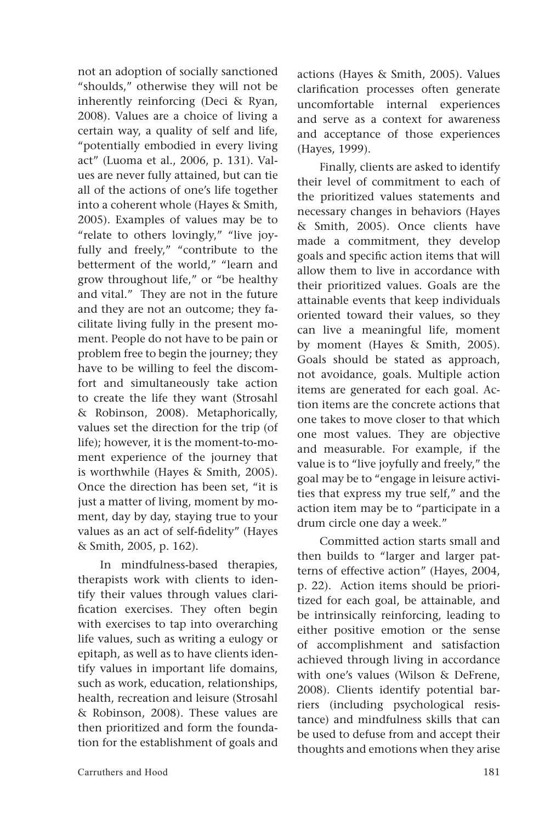not an adoption of socially sanctioned "shoulds," otherwise they will not be inherently reinforcing (Deci & Ryan, 2008). Values are a choice of living a certain way, a quality of self and life, "potentially embodied in every living act" (Luoma et al., 2006, p. 131). Values are never fully attained, but can tie all of the actions of one's life together into a coherent whole (Hayes & Smith, 2005). Examples of values may be to "relate to others lovingly," "live joyfully and freely," "contribute to the betterment of the world," "learn and grow throughout life," or "be healthy and vital." They are not in the future and they are not an outcome; they facilitate living fully in the present moment. People do not have to be pain or problem free to begin the journey; they have to be willing to feel the discomfort and simultaneously take action to create the life they want (Strosahl & Robinson, 2008). Metaphorically, values set the direction for the trip (of life); however, it is the moment-to-moment experience of the journey that is worthwhile (Hayes & Smith, 2005). Once the direction has been set, "it is just a matter of living, moment by moment, day by day, staying true to your values as an act of self-fidelity" (Hayes & Smith, 2005, p. 162).

In mindfulness-based therapies, therapists work with clients to identify their values through values clarification exercises. They often begin with exercises to tap into overarching life values, such as writing a eulogy or epitaph, as well as to have clients identify values in important life domains, such as work, education, relationships, health, recreation and leisure (Strosahl & Robinson, 2008). These values are then prioritized and form the foundation for the establishment of goals and actions (Hayes & Smith, 2005). Values clarification processes often generate uncomfortable internal experiences and serve as a context for awareness and acceptance of those experiences (Hayes, 1999).

Finally, clients are asked to identify their level of commitment to each of the prioritized values statements and necessary changes in behaviors (Hayes & Smith, 2005). Once clients have made a commitment, they develop goals and specific action items that will allow them to live in accordance with their prioritized values. Goals are the attainable events that keep individuals oriented toward their values, so they can live a meaningful life, moment by moment (Hayes & Smith, 2005). Goals should be stated as approach, not avoidance, goals. Multiple action items are generated for each goal. Action items are the concrete actions that one takes to move closer to that which one most values. They are objective and measurable. For example, if the value is to "live joyfully and freely," the goal may be to "engage in leisure activities that express my true self," and the action item may be to "participate in a drum circle one day a week."

Committed action starts small and then builds to "larger and larger patterns of effective action" (Hayes, 2004, p. 22). Action items should be prioritized for each goal, be attainable, and be intrinsically reinforcing, leading to either positive emotion or the sense of accomplishment and satisfaction achieved through living in accordance with one's values (Wilson & DeFrene, 2008). Clients identify potential barriers (including psychological resistance) and mindfulness skills that can be used to defuse from and accept their thoughts and emotions when they arise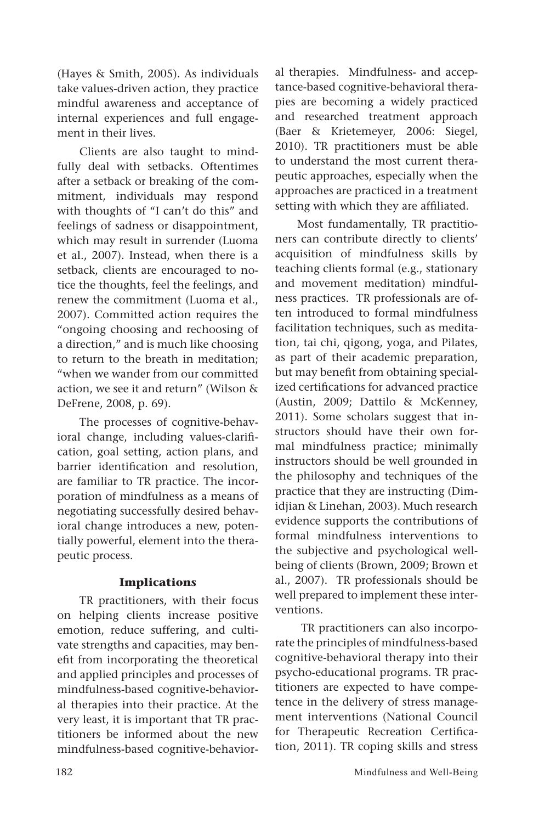(Hayes & Smith, 2005). As individuals take values-driven action, they practice mindful awareness and acceptance of internal experiences and full engagement in their lives.

Clients are also taught to mindfully deal with setbacks. Oftentimes after a setback or breaking of the commitment, individuals may respond with thoughts of "I can't do this" and feelings of sadness or disappointment, which may result in surrender (Luoma et al., 2007). Instead, when there is a setback, clients are encouraged to notice the thoughts, feel the feelings, and renew the commitment (Luoma et al., 2007). Committed action requires the "ongoing choosing and rechoosing of a direction," and is much like choosing to return to the breath in meditation; "when we wander from our committed action, we see it and return" (Wilson & DeFrene, 2008, p. 69).

The processes of cognitive-behavioral change, including values-clarification, goal setting, action plans, and barrier identification and resolution, are familiar to TR practice. The incorporation of mindfulness as a means of negotiating successfully desired behavioral change introduces a new, potentially powerful, element into the therapeutic process.

#### **Implications**

TR practitioners, with their focus on helping clients increase positive emotion, reduce suffering, and cultivate strengths and capacities, may benefit from incorporating the theoretical and applied principles and processes of mindfulness-based cognitive-behavioral therapies into their practice. At the very least, it is important that TR practitioners be informed about the new mindfulness-based cognitive-behavioral therapies. Mindfulness- and acceptance-based cognitive-behavioral therapies are becoming a widely practiced and researched treatment approach (Baer & Krietemeyer, 2006: Siegel, 2010). TR practitioners must be able to understand the most current therapeutic approaches, especially when the approaches are practiced in a treatment setting with which they are affiliated.

Most fundamentally, TR practitioners can contribute directly to clients' acquisition of mindfulness skills by teaching clients formal (e.g., stationary and movement meditation) mindfulness practices. TR professionals are often introduced to formal mindfulness facilitation techniques, such as meditation, tai chi, qigong, yoga, and Pilates, as part of their academic preparation, but may benefit from obtaining specialized certifications for advanced practice (Austin, 2009; Dattilo & McKenney, 2011). Some scholars suggest that instructors should have their own formal mindfulness practice; minimally instructors should be well grounded in the philosophy and techniques of the practice that they are instructing (Dimidjian & Linehan, 2003). Much research evidence supports the contributions of formal mindfulness interventions to the subjective and psychological wellbeing of clients (Brown, 2009; Brown et al., 2007). TR professionals should be well prepared to implement these interventions.

 TR practitioners can also incorporate the principles of mindfulness-based cognitive-behavioral therapy into their psycho-educational programs. TR practitioners are expected to have competence in the delivery of stress management interventions (National Council for Therapeutic Recreation Certification, 2011). TR coping skills and stress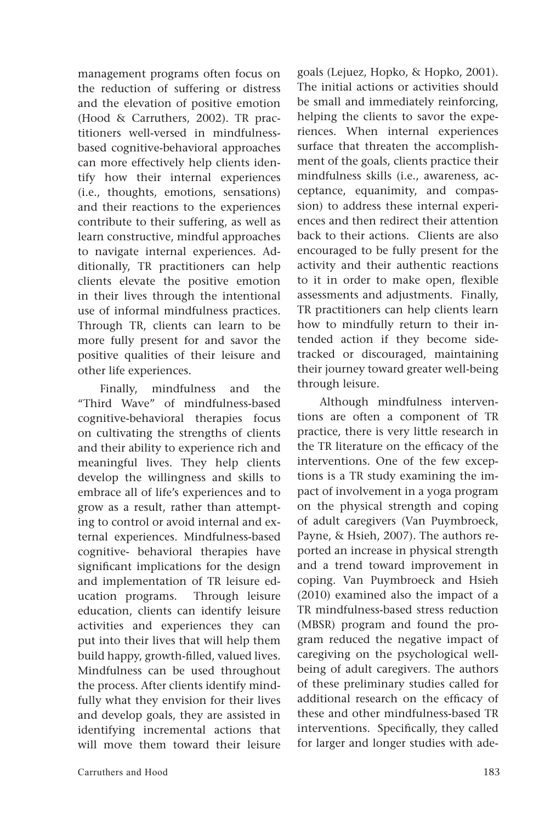management programs often focus on the reduction of suffering or distress and the elevation of positive emotion (Hood & Carruthers, 2002). TR practitioners well-versed in mindfulnessbased cognitive-behavioral approaches can more effectively help clients identify how their internal experiences (i.e., thoughts, emotions, sensations) and their reactions to the experiences contribute to their suffering, as well as learn constructive, mindful approaches to navigate internal experiences. Additionally, TR practitioners can help clients elevate the positive emotion in their lives through the intentional use of informal mindfulness practices. Through TR, clients can learn to be more fully present for and savor the positive qualities of their leisure and other life experiences.

Finally, mindfulness and the "Third Wave" of mindfulness-based cognitive-behavioral therapies focus on cultivating the strengths of clients and their ability to experience rich and meaningful lives. They help clients develop the willingness and skills to embrace all of life's experiences and to grow as a result, rather than attempting to control or avoid internal and external experiences. Mindfulness-based cognitive- behavioral therapies have significant implications for the design and implementation of TR leisure education programs. Through leisure education, clients can identify leisure activities and experiences they can put into their lives that will help them build happy, growth-filled, valued lives. Mindfulness can be used throughout the process. After clients identify mindfully what they envision for their lives and develop goals, they are assisted in identifying incremental actions that will move them toward their leisure goals (Lejuez, Hopko, & Hopko, 2001). The initial actions or activities should be small and immediately reinforcing, helping the clients to savor the experiences. When internal experiences surface that threaten the accomplishment of the goals, clients practice their mindfulness skills (i.e., awareness, acceptance, equanimity, and compassion) to address these internal experiences and then redirect their attention back to their actions. Clients are also encouraged to be fully present for the activity and their authentic reactions to it in order to make open, flexible assessments and adjustments. Finally, TR practitioners can help clients learn how to mindfully return to their intended action if they become sidetracked or discouraged, maintaining their journey toward greater well-being through leisure.

Although mindfulness interventions are often a component of TR practice, there is very little research in the TR literature on the efficacy of the interventions. One of the few exceptions is a TR study examining the impact of involvement in a yoga program on the physical strength and coping of adult caregivers (Van Puymbroeck, Payne, & Hsieh, 2007). The authors reported an increase in physical strength and a trend toward improvement in coping. Van Puymbroeck and Hsieh (2010) examined also the impact of a TR mindfulness-based stress reduction (MBSR) program and found the program reduced the negative impact of caregiving on the psychological wellbeing of adult caregivers. The authors of these preliminary studies called for additional research on the efficacy of these and other mindfulness-based TR interventions. Specifically, they called for larger and longer studies with ade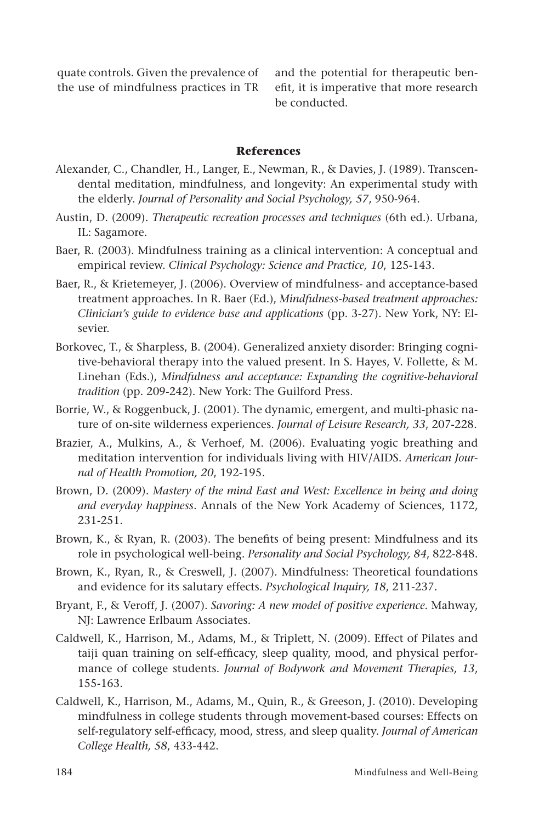quate controls. Given the prevalence of the use of mindfulness practices in TR

and the potential for therapeutic benefit, it is imperative that more research be conducted.

#### **References**

- Alexander, C., Chandler, H., Langer, E., Newman, R., & Davies, J. (1989). Transcendental meditation, mindfulness, and longevity: An experimental study with the elderly. *Journal of Personality and Social Psychology, 57*, 950-964.
- Austin, D. (2009). *Therapeutic recreation processes and techniques* (6th ed.). Urbana, IL: Sagamore.
- Baer, R. (2003). Mindfulness training as a clinical intervention: A conceptual and empirical review. *Clinical Psychology: Science and Practice, 10*, 125-143.
- Baer, R., & Krietemeyer, J. (2006). Overview of mindfulness- and acceptance-based treatment approaches. In R. Baer (Ed.), *Mindfulness-based treatment approaches: Clinician's guide to evidence base and applications* (pp. 3-27). New York, NY: Elsevier.
- Borkovec, T., & Sharpless, B. (2004). Generalized anxiety disorder: Bringing cognitive-behavioral therapy into the valued present. In S. Hayes, V. Follette, & M. Linehan (Eds.), *Mindfulness and acceptance: Expanding the cognitive-behavioral tradition* (pp. 209-242). New York: The Guilford Press.
- Borrie, W., & Roggenbuck, J. (2001). The dynamic, emergent, and multi-phasic nature of on-site wilderness experiences. *Journal of Leisure Research, 33*, 207-228.
- Brazier, A., Mulkins, A., & Verhoef, M. (2006). Evaluating yogic breathing and meditation intervention for individuals living with HIV/AIDS. *American Journal of Health Promotion, 20*, 192-195.
- Brown, D. (2009). *Mastery of the mind East and West: Excellence in being and doing and everyday happiness*. Annals of the New York Academy of Sciences, 1172, 231-251.
- Brown, K., & Ryan, R. (2003). The benefits of being present: Mindfulness and its role in psychological well-being. *Personality and Social Psychology, 84*, 822-848.
- Brown, K., Ryan, R., & Creswell, J. (2007). Mindfulness: Theoretical foundations and evidence for its salutary effects. *Psychological Inquiry, 18*, 211-237.
- Bryant, F., & Veroff, J. (2007). *Savoring: A new model of positive experience.* Mahway, NJ: Lawrence Erlbaum Associates.
- Caldwell, K., Harrison, M., Adams, M., & Triplett, N. (2009). Effect of Pilates and taiji quan training on self-efficacy, sleep quality, mood, and physical performance of college students. *Journal of Bodywork and Movement Therapies, 13*, 155-163.
- Caldwell, K., Harrison, M., Adams, M., Quin, R., & Greeson, J. (2010). Developing mindfulness in college students through movement-based courses: Effects on self-regulatory self-efficacy, mood, stress, and sleep quality. *Journal of American College Health, 58*, 433-442.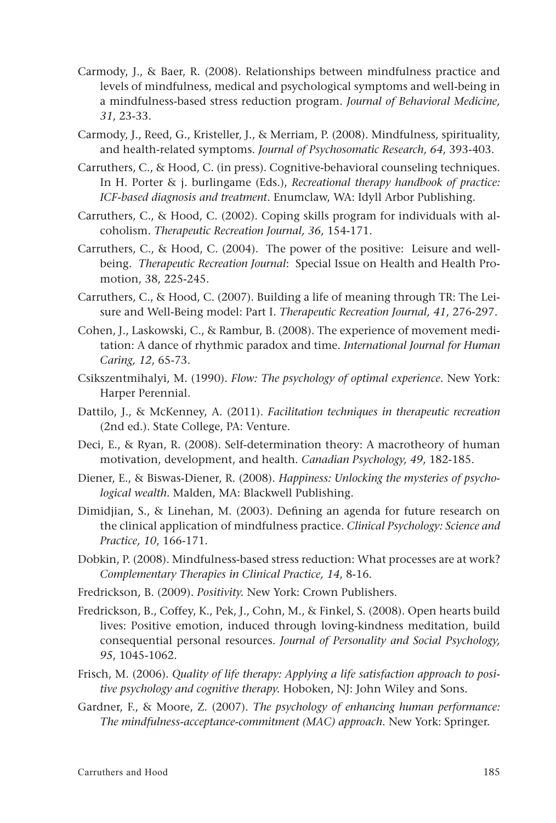- Carmody, J., & Baer, R. (2008). Relationships between mindfulness practice and levels of mindfulness, medical and psychological symptoms and well-being in a mindfulness-based stress reduction program. *Journal of Behavioral Medicine, 31*, 23-33.
- Carmody, J., Reed, G., Kristeller, J., & Merriam, P. (2008). Mindfulness, spirituality, and health-related symptoms. *Journal of Psychosomatic Research, 64*, 393-403.
- Carruthers, C., & Hood, C. (in press). Cognitive-behavioral counseling techniques. In H. Porter & j. burlingame (Eds.), *Recreational therapy handbook of practice: ICF-based diagnosis and treatment*. Enumclaw, WA: Idyll Arbor Publishing.
- Carruthers, C., & Hood, C. (2002). Coping skills program for individuals with alcoholism. *Therapeutic Recreation Journal, 36*, 154-171.
- Carruthers, C., & Hood, C. (2004). The power of the positive: Leisure and wellbeing. *Therapeutic Recreation Journal*: Special Issue on Health and Health Promotion, 38, 225-245.
- Carruthers, C., & Hood, C. (2007). Building a life of meaning through TR: The Leisure and Well-Being model: Part I. *Therapeutic Recreation Journal, 41*, 276-297.
- Cohen, J., Laskowski, C., & Rambur, B. (2008). The experience of movement meditation: A dance of rhythmic paradox and time. *International Journal for Human Caring, 12*, 65-73.
- Csikszentmihalyi, M. (1990). *Flow: The psychology of optimal experience*. New York: Harper Perennial.
- Dattilo, J., & McKenney, A. (2011). *Facilitation techniques in therapeutic recreation* (2nd ed.). State College, PA: Venture.
- Deci, E., & Ryan, R. (2008). Self-determination theory: A macrotheory of human motivation, development, and health. *Canadian Psychology, 49*, 182-185.
- Diener, E., & Biswas-Diener, R. (2008). *Happiness: Unlocking the mysteries of psychological wealth.* Malden, MA: Blackwell Publishing.
- Dimidjian, S., & Linehan, M. (2003). Defining an agenda for future research on the clinical application of mindfulness practice. *Clinical Psychology: Science and Practice, 10*, 166-171.
- Dobkin, P. (2008). Mindfulness-based stress reduction: What processes are at work? *Complementary Therapies in Clinical Practice, 14*, 8-16.
- Fredrickson, B. (2009). *Positivity.* New York: Crown Publishers.
- Fredrickson, B., Coffey, K., Pek, J., Cohn, M., & Finkel, S. (2008). Open hearts build lives: Positive emotion, induced through loving-kindness meditation, build consequential personal resources. *Journal of Personality and Social Psychology, 95*, 1045-1062.
- Frisch, M. (2006). *Quality of life therapy: Applying a life satisfaction approach to positive psychology and cognitive therapy.* Hoboken, NJ: John Wiley and Sons.
- Gardner, F., & Moore, Z. (2007). *The psychology of enhancing human performance: The mindfulness-acceptance-commitment (MAC) approach*. New York: Springer.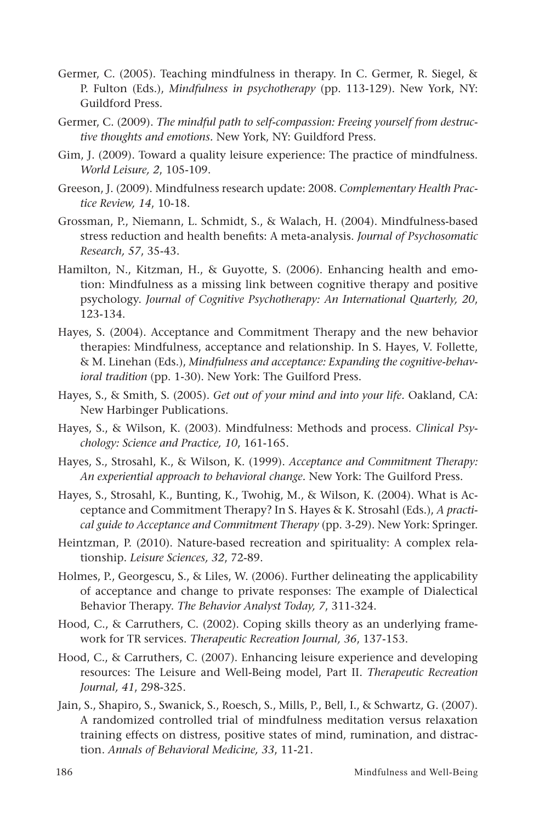- Germer, C. (2005). Teaching mindfulness in therapy. In C. Germer, R. Siegel, & P. Fulton (Eds.), *Mindfulness in psychotherapy* (pp. 113-129). New York, NY: Guildford Press.
- Germer, C. (2009). *The mindful path to self-compassion: Freeing yourself from destructive thoughts and emotions.* New York, NY: Guildford Press.
- Gim, J. (2009). Toward a quality leisure experience: The practice of mindfulness. *World Leisure, 2*, 105-109.
- Greeson, J. (2009). Mindfulness research update: 2008. *Complementary Health Practice Review, 14*, 10-18.
- Grossman, P., Niemann, L. Schmidt, S., & Walach, H. (2004). Mindfulness-based stress reduction and health benefits: A meta-analysis. *Journal of Psychosomatic Research, 57*, 35-43.
- Hamilton, N., Kitzman, H., & Guyotte, S. (2006). Enhancing health and emotion: Mindfulness as a missing link between cognitive therapy and positive psychology. *Journal of Cognitive Psychotherapy: An International Quarterly, 20*, 123-134.
- Hayes, S. (2004). Acceptance and Commitment Therapy and the new behavior therapies: Mindfulness, acceptance and relationship. In S. Hayes, V. Follette, & M. Linehan (Eds.), *Mindfulness and acceptance: Expanding the cognitive-behavioral tradition* (pp. 1-30). New York: The Guilford Press.
- Hayes, S., & Smith, S. (2005). *Get out of your mind and into your life.* Oakland, CA: New Harbinger Publications.
- Hayes, S., & Wilson, K. (2003). Mindfulness: Methods and process. *Clinical Psychology: Science and Practice, 10*, 161-165.
- Hayes, S., Strosahl, K., & Wilson, K. (1999). *Acceptance and Commitment Therapy: An experiential approach to behavioral change.* New York: The Guilford Press.
- Hayes, S., Strosahl, K., Bunting, K., Twohig, M., & Wilson, K. (2004). What is Acceptance and Commitment Therapy? In S. Hayes & K. Strosahl (Eds.), *A practical guide to Acceptance and Commitment Therapy* (pp. 3-29). New York: Springer.
- Heintzman, P. (2010). Nature-based recreation and spirituality: A complex relationship. *Leisure Sciences, 32*, 72-89.
- Holmes, P., Georgescu, S., & Liles, W. (2006). Further delineating the applicability of acceptance and change to private responses: The example of Dialectical Behavior Therapy. *The Behavior Analyst Today, 7*, 311-324.
- Hood, C., & Carruthers, C. (2002). Coping skills theory as an underlying framework for TR services. *Therapeutic Recreation Journal, 36*, 137-153.
- Hood, C., & Carruthers, C. (2007). Enhancing leisure experience and developing resources: The Leisure and Well-Being model, Part II. *Therapeutic Recreation Journal, 41*, 298-325.
- Jain, S., Shapiro, S., Swanick, S., Roesch, S., Mills, P., Bell, I., & Schwartz, G. (2007). A randomized controlled trial of mindfulness meditation versus relaxation training effects on distress, positive states of mind, rumination, and distraction. *Annals of Behavioral Medicine, 33*, 11-21.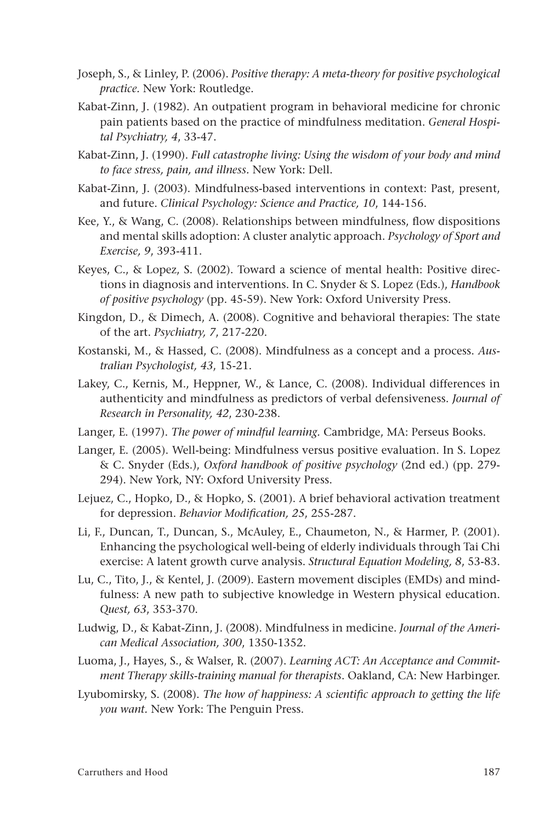- Joseph, S., & Linley, P. (2006). *Positive therapy: A meta-theory for positive psychological practice.* New York: Routledge.
- Kabat-Zinn, J. (1982). An outpatient program in behavioral medicine for chronic pain patients based on the practice of mindfulness meditation. *General Hospital Psychiatry, 4*, 33-47.
- Kabat-Zinn, J. (1990). *Full catastrophe living: Using the wisdom of your body and mind to face stress, pain, and illness.* New York: Dell.
- Kabat-Zinn, J. (2003). Mindfulness-based interventions in context: Past, present, and future. *Clinical Psychology: Science and Practice, 10*, 144-156.
- Kee, Y., & Wang, C. (2008). Relationships between mindfulness, flow dispositions and mental skills adoption: A cluster analytic approach. *Psychology of Sport and Exercise, 9*, 393-411.
- Keyes, C., & Lopez, S. (2002). Toward a science of mental health: Positive directions in diagnosis and interventions. In C. Snyder & S. Lopez (Eds.), *Handbook of positive psychology* (pp. 45-59). New York: Oxford University Press.
- Kingdon, D., & Dimech, A. (2008). Cognitive and behavioral therapies: The state of the art. *Psychiatry, 7*, 217-220.
- Kostanski, M., & Hassed, C. (2008). Mindfulness as a concept and a process. *Australian Psychologist, 43*, 15-21.
- Lakey, C., Kernis, M., Heppner, W., & Lance, C. (2008). Individual differences in authenticity and mindfulness as predictors of verbal defensiveness. *Journal of Research in Personality, 42*, 230-238.
- Langer, E. (1997). *The power of mindful learning.* Cambridge, MA: Perseus Books.
- Langer, E. (2005). Well-being: Mindfulness versus positive evaluation. In S. Lopez & C. Snyder (Eds.), *Oxford handbook of positive psychology* (2nd ed.) (pp. 279- 294). New York, NY: Oxford University Press.
- Lejuez, C., Hopko, D., & Hopko, S. (2001). A brief behavioral activation treatment for depression. *Behavior Modification, 25*, 255-287.
- Li, F., Duncan, T., Duncan, S., McAuley, E., Chaumeton, N., & Harmer, P. (2001). Enhancing the psychological well-being of elderly individuals through Tai Chi exercise: A latent growth curve analysis. *Structural Equation Modeling, 8*, 53-83.
- Lu, C., Tito, J., & Kentel, J. (2009). Eastern movement disciples (EMDs) and mindfulness: A new path to subjective knowledge in Western physical education. *Quest, 63*, 353-370.
- Ludwig, D., & Kabat-Zinn, J. (2008). Mindfulness in medicine. *Journal of the American Medical Association, 300*, 1350-1352.
- Luoma, J., Hayes, S., & Walser, R. (2007). *Learning ACT: An Acceptance and Commitment Therapy skills-training manual for therapists*. Oakland, CA: New Harbinger.
- Lyubomirsky, S. (2008). *The how of happiness: A scientific approach to getting the life you want.* New York: The Penguin Press.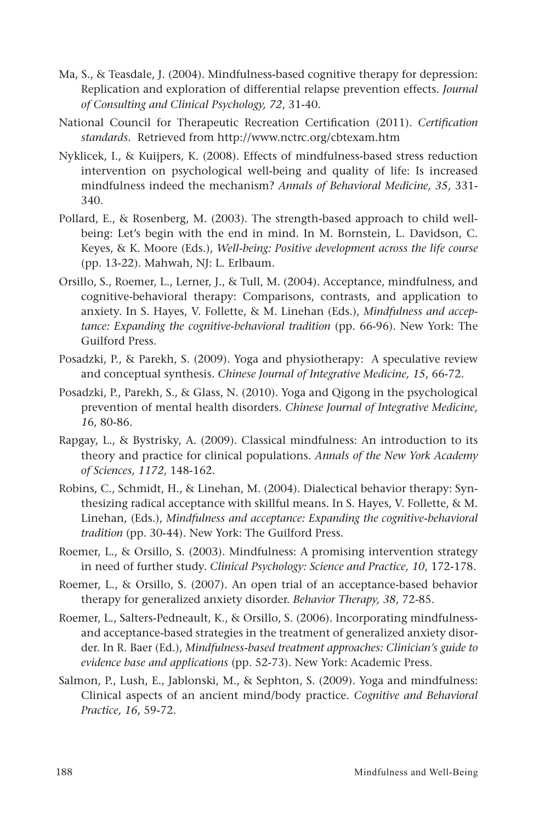- Ma, S., & Teasdale, J. (2004). Mindfulness-based cognitive therapy for depression: Replication and exploration of differential relapse prevention effects. *Journal of Consulting and Clinical Psychology, 72*, 31-40.
- National Council for Therapeutic Recreation Certification (2011). *Certification standards.* Retrieved from http://www.nctrc.org/cbtexam.htm
- Nyklicek, I., & Kuijpers, K. (2008). Effects of mindfulness-based stress reduction intervention on psychological well-being and quality of life: Is increased mindfulness indeed the mechanism? *Annals of Behavioral Medicine, 35*, 331- 340.
- Pollard, E., & Rosenberg, M. (2003). The strength-based approach to child wellbeing: Let's begin with the end in mind. In M. Bornstein, L. Davidson, C. Keyes, & K. Moore (Eds.), *Well-being: Positive development across the life course*  (pp. 13-22). Mahwah, NJ: L. Erlbaum.
- Orsillo, S., Roemer, L., Lerner, J., & Tull, M. (2004). Acceptance, mindfulness, and cognitive-behavioral therapy: Comparisons, contrasts, and application to anxiety. In S. Hayes, V. Follette, & M. Linehan (Eds.), *Mindfulness and acceptance: Expanding the cognitive-behavioral tradition* (pp. 66-96). New York: The Guilford Press.
- Posadzki, P., & Parekh, S. (2009). Yoga and physiotherapy: A speculative review and conceptual synthesis. *Chinese Journal of Integrative Medicine, 15*, 66-72.
- Posadzki, P., Parekh, S., & Glass, N. (2010). Yoga and Qigong in the psychological prevention of mental health disorders. *Chinese Journal of Integrative Medicine, 1*6, 80-86.
- Rapgay, L., & Bystrisky, A. (2009). Classical mindfulness: An introduction to its theory and practice for clinical populations. *Annals of the New York Academy of Sciences, 1172*, 148-162.
- Robins, C., Schmidt, H., & Linehan, M. (2004). Dialectical behavior therapy: Synthesizing radical acceptance with skillful means. In S. Hayes, V. Follette, & M. Linehan, (Eds.), *Mindfulness and acceptance: Expanding the cognitive-behavioral tradition* (pp. 30-44). New York: The Guilford Press.
- Roemer, L., & Orsillo, S. (2003). Mindfulness: A promising intervention strategy in need of further study. *Clinical Psychology: Science and Practice, 10*, 172-178.
- Roemer, L., & Orsillo, S. (2007). An open trial of an acceptance-based behavior therapy for generalized anxiety disorder. *Behavior Therapy, 38*, 72-85.
- Roemer, L., Salters-Pedneault, K., & Orsillo, S. (2006). Incorporating mindfulnessand acceptance-based strategies in the treatment of generalized anxiety disorder. In R. Baer (Ed.), *Mindfulness-based treatment approaches: Clinician's guide to evidence base and applications* (pp. 52-73). New York: Academic Press.
- Salmon, P., Lush, E., Jablonski, M., & Sephton, S. (2009). Yoga and mindfulness: Clinical aspects of an ancient mind/body practice. *Cognitive and Behavioral Practice, 16*, 59-72.